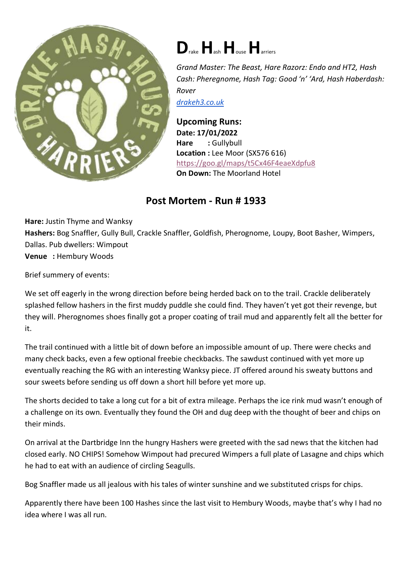

## **D**rake**H**ash**H**ouse**H**arriers

*Grand Master: The Beast, Hare Razorz: Endo and HT2, Hash Cash: Pheregnome, Hash Tag: Good 'n' 'Ard, Hash Haberdash: Rover*

*[drakeh3.co.uk](http://drakeh3.co.uk/)*

**Upcoming Runs: Date: 17/01/2022** Hare : Gullybull **Location :** Lee Moor (SX576 616) <https://goo.gl/maps/t5Cx46F4eaeXdpfu8> **On Down:** The Moorland Hotel

## **Post Mortem - Run # 1933**

**Hare:** Justin Thyme and Wanksy **Hashers:** Bog Snaffler, Gully Bull, Crackle Snaffler, Goldfish, Pherognome, Loupy, Boot Basher, Wimpers, Dallas. Pub dwellers: Wimpout **Venue :** Hembury Woods

Brief summery of events:

We set off eagerly in the wrong direction before being herded back on to the trail. Crackle deliberately splashed fellow hashers in the first muddy puddle she could find. They haven't yet got their revenge, but they will. Pherognomes shoes finally got a proper coating of trail mud and apparently felt all the better for it.

The trail continued with a little bit of down before an impossible amount of up. There were checks and many check backs, even a few optional freebie checkbacks. The sawdust continued with yet more up eventually reaching the RG with an interesting Wanksy piece. JT offered around his sweaty buttons and sour sweets before sending us off down a short hill before yet more up.

The shorts decided to take a long cut for a bit of extra mileage. Perhaps the ice rink mud wasn't enough of a challenge on its own. Eventually they found the OH and dug deep with the thought of beer and chips on their minds.

On arrival at the Dartbridge Inn the hungry Hashers were greeted with the sad news that the kitchen had closed early. NO CHIPS! Somehow Wimpout had precured Wimpers a full plate of Lasagne and chips which he had to eat with an audience of circling Seagulls.

Bog Snaffler made us all jealous with his tales of winter sunshine and we substituted crisps for chips.

Apparently there have been 100 Hashes since the last visit to Hembury Woods, maybe that's why I had no idea where I was all run.